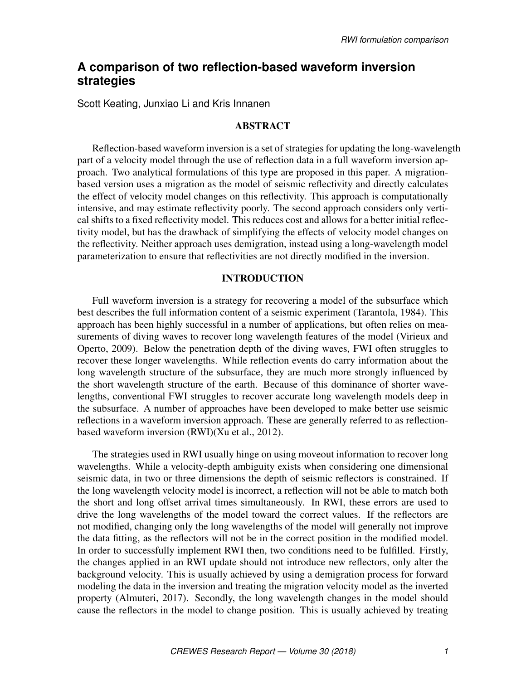# **A comparison of two reflection-based waveform inversion strategies**

Scott Keating, Junxiao Li and Kris Innanen

## ABSTRACT

Reflection-based waveform inversion is a set of strategies for updating the long-wavelength part of a velocity model through the use of reflection data in a full waveform inversion approach. Two analytical formulations of this type are proposed in this paper. A migrationbased version uses a migration as the model of seismic reflectivity and directly calculates the effect of velocity model changes on this reflectivity. This approach is computationally intensive, and may estimate reflectivity poorly. The second approach considers only vertical shifts to a fixed reflectivity model. This reduces cost and allows for a better initial reflectivity model, but has the drawback of simplifying the effects of velocity model changes on the reflectivity. Neither approach uses demigration, instead using a long-wavelength model parameterization to ensure that reflectivities are not directly modified in the inversion.

## INTRODUCTION

Full waveform inversion is a strategy for recovering a model of the subsurface which best describes the full information content of a seismic experiment [\(Tarantola, 1984\)](#page-6-0). This approach has been highly successful in a number of applications, but often relies on measurements of diving waves to recover long wavelength features of the model [\(Virieux and](#page-6-1) [Operto, 2009\)](#page-6-1). Below the penetration depth of the diving waves, FWI often struggles to recover these longer wavelengths. While reflection events do carry information about the long wavelength structure of the subsurface, they are much more strongly influenced by the short wavelength structure of the earth. Because of this dominance of shorter wavelengths, conventional FWI struggles to recover accurate long wavelength models deep in the subsurface. A number of approaches have been developed to make better use seismic reflections in a waveform inversion approach. These are generally referred to as reflectionbased waveform inversion (RWI)[\(Xu et al., 2012\)](#page-6-2).

The strategies used in RWI usually hinge on using moveout information to recover long wavelengths. While a velocity-depth ambiguity exists when considering one dimensional seismic data, in two or three dimensions the depth of seismic reflectors is constrained. If the long wavelength velocity model is incorrect, a reflection will not be able to match both the short and long offset arrival times simultaneously. In RWI, these errors are used to drive the long wavelengths of the model toward the correct values. If the reflectors are not modified, changing only the long wavelengths of the model will generally not improve the data fitting, as the reflectors will not be in the correct position in the modified model. In order to successfully implement RWI then, two conditions need to be fulfilled. Firstly, the changes applied in an RWI update should not introduce new reflectors, only alter the background velocity. This is usually achieved by using a demigration process for forward modeling the data in the inversion and treating the migration velocity model as the inverted property [\(Almuteri, 2017\)](#page-6-3). Secondly, the long wavelength changes in the model should cause the reflectors in the model to change position. This is usually achieved by treating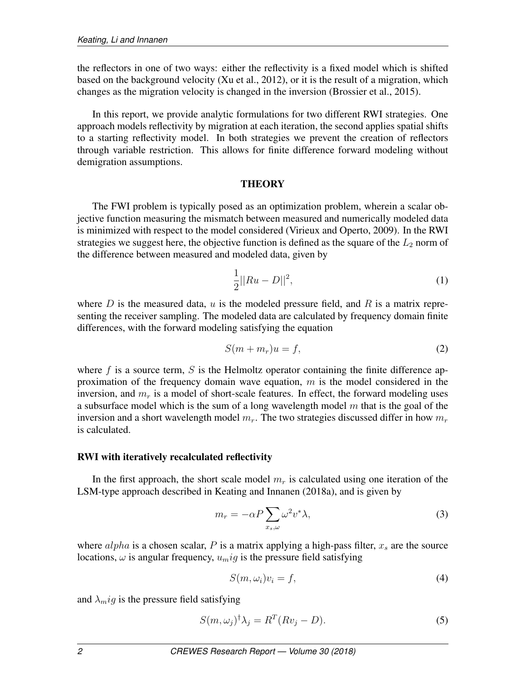the reflectors in one of two ways: either the reflectivity is a fixed model which is shifted based on the background velocity [\(Xu et al., 2012\)](#page-6-2), or it is the result of a migration, which changes as the migration velocity is changed in the inversion [\(Brossier et al., 2015\)](#page-6-4).

In this report, we provide analytic formulations for two different RWI strategies. One approach models reflectivity by migration at each iteration, the second applies spatial shifts to a starting reflectivity model. In both strategies we prevent the creation of reflectors through variable restriction. This allows for finite difference forward modeling without demigration assumptions.

### **THEORY**

The FWI problem is typically posed as an optimization problem, wherein a scalar objective function measuring the mismatch between measured and numerically modeled data is minimized with respect to the model considered [\(Virieux and Operto, 2009\)](#page-6-1). In the RWI strategies we suggest here, the objective function is defined as the square of the  $L_2$  norm of the difference between measured and modeled data, given by

<span id="page-1-4"></span>
$$
\frac{1}{2}||Ru - D||^2,
$$
\n(1)

where D is the measured data, u is the modeled pressure field, and R is a matrix representing the receiver sampling. The modeled data are calculated by frequency domain finite differences, with the forward modeling satisfying the equation

<span id="page-1-1"></span>
$$
S(m + m_r)u = f,\t\t(2)
$$

where f is a source term, S is the Helmoltz operator containing the finite difference approximation of the frequency domain wave equation,  $m$  is the model considered in the inversion, and  $m_r$  is a model of short-scale features. In effect, the forward modeling uses a subsurface model which is the sum of a long wavelength model  $m$  that is the goal of the inversion and a short wavelength model  $m_r$ . The two strategies discussed differ in how  $m_r$ is calculated.

## RWI with iteratively recalculated reflectivity

In the first approach, the short scale model  $m_r$  is calculated using one iteration of the LSM-type approach described in [Keating and Innanen](#page-6-5) [\(2018a\)](#page-6-5), and is given by

<span id="page-1-0"></span>
$$
m_r = -\alpha P \sum_{x_s,\omega} \omega^2 v^* \lambda,\tag{3}
$$

where  $alpha$  is a chosen scalar, P is a matrix applying a high-pass filter,  $x_s$  are the source locations,  $\omega$  is angular frequency,  $u_mig$  is the pressure field satisfying

<span id="page-1-2"></span>
$$
S(m,\omega_i)v_i = f,\t\t(4)
$$

and  $\lambda_m$ ig is the pressure field satisfying

<span id="page-1-3"></span>
$$
S(m,\omega_j)^{\dagger} \lambda_j = R^T (Rv_j - D). \tag{5}
$$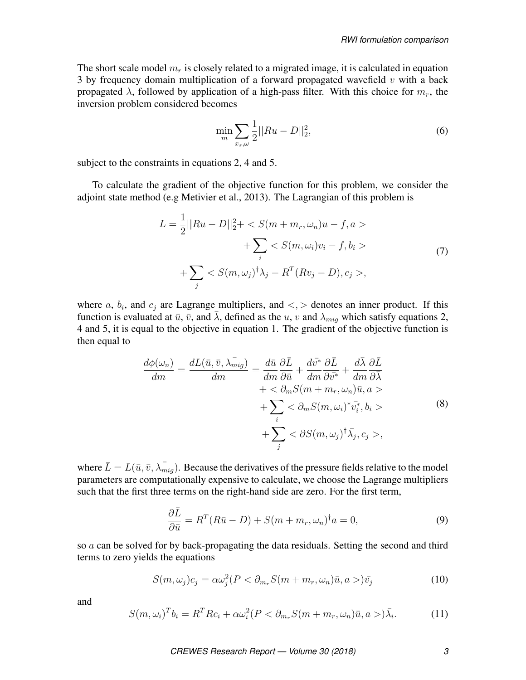The short scale model  $m_r$  is closely related to a migrated image, it is calculated in equation [3](#page-1-0) by frequency domain multiplication of a forward propagated wavefield  $v$  with a back propagated  $\lambda$ , followed by application of a high-pass filter. With this choice for  $m_r$ , the inversion problem considered becomes

$$
\min_{m} \sum_{x_s,\omega} \frac{1}{2} ||Ru - D||_2^2, \tag{6}
$$

subject to the constraints in equations [2,](#page-1-1) [4](#page-1-2) and [5.](#page-1-3)

To calculate the gradient of the objective function for this problem, we consider the adjoint state method (e.g [Metivier et al., 2013\)](#page-6-6). The Lagrangian of this problem is

$$
L = \frac{1}{2}||Ru - D||_2^2 + \langle S(m + m_r, \omega_n)u - f, a \rangle
$$
  
+ 
$$
\sum_i \langle S(m, \omega_i)v_i - f, b_i \rangle
$$
  
+ 
$$
\sum_j \langle S(m, \omega_j)^{\dagger} \lambda_j - R^T(Rv_j - D), c_j \rangle,
$$
 (7)

where a,  $b_i$ , and  $c_j$  are Lagrange multipliers, and  $\lt$ ,  $>$  denotes an inner product. If this function is evaluated at  $\bar{u}$ ,  $\bar{v}$ , and  $\bar{\lambda}$ , defined as the u, v and  $\lambda_{miq}$  which satisfy equations [2,](#page-1-1) [4](#page-1-2) and [5,](#page-1-3) it is equal to the objective in equation [1.](#page-1-4) The gradient of the objective function is then equal to

$$
\frac{d\phi(\omega_n)}{dm} = \frac{dL(\bar{u}, \bar{v}, \lambda_{mig}^{-})}{dm} = \frac{d\bar{u}}{dm} \frac{\partial \bar{L}}{\partial \bar{u}} + \frac{d\bar{v}^*}{dm} \frac{\partial \bar{L}}{\partial \bar{v}^*} + \frac{d\bar{\lambda}}{dm} \frac{\partial \bar{L}}{\partial \bar{\lambda}} + \n+ < \partial_m S(m + m_r, \omega_n) \bar{u}, a >\n+ \n\sum_i < \partial_m S(m, \omega_i)^* \bar{v}_i^*, b_i >\n+ \n\sum_j < \partial S(m, \omega_j)^{\dagger} \bar{\lambda}_j, c_j >,
$$
\n(8)

where  $\bar{L} = L(\bar{u}, \bar{v}, \lambda_{miq})$ . Because the derivatives of the pressure fields relative to the model parameters are computationally expensive to calculate, we choose the Lagrange multipliers such that the first three terms on the right-hand side are zero. For the first term,

<span id="page-2-0"></span>
$$
\frac{\partial \bar{L}}{\partial \bar{u}} = R^T (R\bar{u} - D) + S(m + m_r, \omega_n)^\dagger a = 0,\tag{9}
$$

so a can be solved for by back-propagating the data residuals. Setting the second and third terms to zero yields the equations

<span id="page-2-1"></span>
$$
S(m,\omega_j)c_j = \alpha \omega_j^2 (P < \partial_{m_r} S(m + m_r, \omega_n)\bar{u}, a>)\bar{v}_j
$$
\n(10)

and

<span id="page-2-2"></span>
$$
S(m,\omega_i)^T b_i = R^T R c_i + \alpha \omega_i^2 (P < \partial_{m_r} S(m + m_r, \omega_n) \bar{u}, a>) \bar{\lambda}_i.
$$
 (11)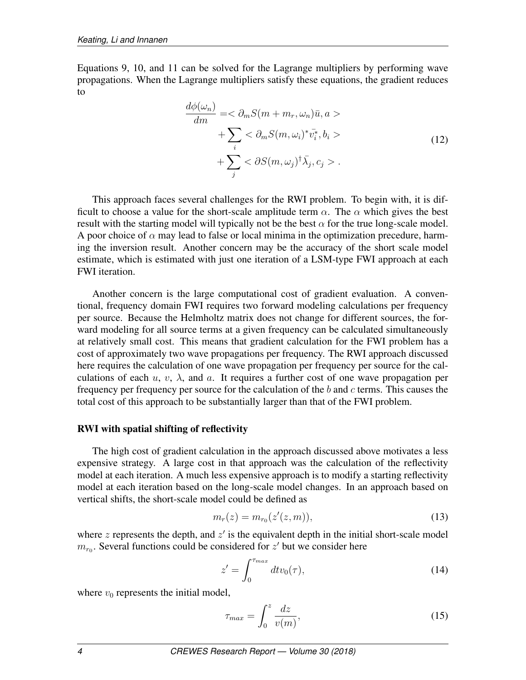Equations [9,](#page-2-0) [10,](#page-2-1) and [11](#page-2-2) can be solved for the Lagrange multipliers by performing wave propagations. When the Lagrange multipliers satisfy these equations, the gradient reduces to

$$
\frac{d\phi(\omega_n)}{dm} = <\partial_m S(m + m_r, \omega_n)\bar{u}, a> \n+ \sum_i <\partial_m S(m, \omega_i)^* \bar{v}_i^*, b_i> \n+ \sum_j <\partial S(m, \omega_j)^{\dagger} \bar{\lambda}_j, c_j>.
$$
\n(12)

This approach faces several challenges for the RWI problem. To begin with, it is difficult to choose a value for the short-scale amplitude term  $\alpha$ . The  $\alpha$  which gives the best result with the starting model will typically not be the best  $\alpha$  for the true long-scale model. A poor choice of  $\alpha$  may lead to false or local minima in the optimization precedure, harming the inversion result. Another concern may be the accuracy of the short scale model estimate, which is estimated with just one iteration of a LSM-type FWI approach at each FWI iteration.

Another concern is the large computational cost of gradient evaluation. A conventional, frequency domain FWI requires two forward modeling calculations per frequency per source. Because the Helmholtz matrix does not change for different sources, the forward modeling for all source terms at a given frequency can be calculated simultaneously at relatively small cost. This means that gradient calculation for the FWI problem has a cost of approximately two wave propagations per frequency. The RWI approach discussed here requires the calculation of one wave propagation per frequency per source for the calculations of each  $u, v, \lambda$ , and  $a$ . It requires a further cost of one wave propagation per frequency per frequency per source for the calculation of the  $b$  and  $c$  terms. This causes the total cost of this approach to be substantially larger than that of the FWI problem.

#### RWI with spatial shifting of reflectivity

The high cost of gradient calculation in the approach discussed above motivates a less expensive strategy. A large cost in that approach was the calculation of the reflectivity model at each iteration. A much less expensive approach is to modify a starting reflectivity model at each iteration based on the long-scale model changes. In an approach based on vertical shifts, the short-scale model could be defined as

<span id="page-3-0"></span>
$$
m_r(z) = m_{r_0}(z'(z,m)),
$$
\n(13)

where  $z$  represents the depth, and  $z'$  is the equivalent depth in the initial short-scale model  $m_{r_0}$ . Several functions could be considered for  $z'$  but we consider here

$$
z' = \int_0^{\tau_{max}} dt v_0(\tau), \qquad (14)
$$

where  $v_0$  represents the initial model,

$$
\tau_{max} = \int_0^z \frac{dz}{v(m)},\tag{15}
$$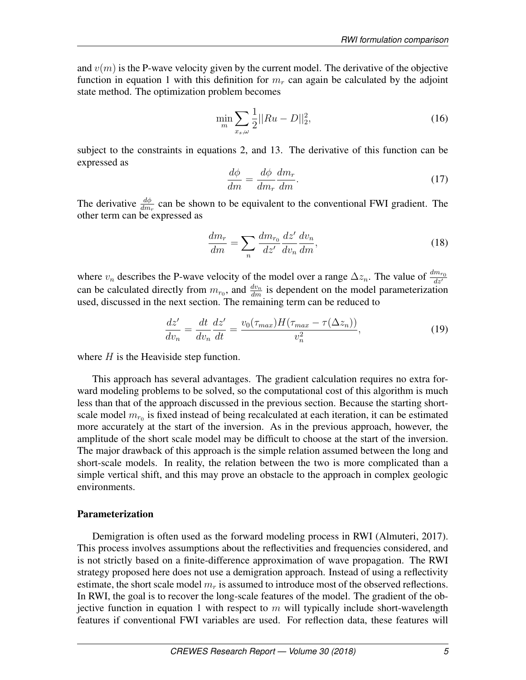and  $v(m)$  is the P-wave velocity given by the current model. The derivative of the objective function in equation [1](#page-1-4) with this definition for  $m_r$  can again be calculated by the adjoint state method. The optimization problem becomes

$$
\min_{m} \sum_{x_s,\omega} \frac{1}{2} ||Ru - D||_2^2, \tag{16}
$$

subject to the constraints in equations [2,](#page-1-1) and [13.](#page-3-0) The derivative of this function can be expressed as

$$
\frac{d\phi}{dm} = \frac{d\phi}{dm_r} \frac{dm_r}{dm}.\tag{17}
$$

The derivative  $\frac{d\phi}{dm_r}$  can be shown to be equivalent to the conventional FWI gradient. The other term can be expressed as

$$
\frac{dm_r}{dm} = \sum_n \frac{dm_{r_0}}{dz'} \frac{dz'}{dv_n} \frac{dv_n}{dm},\tag{18}
$$

where  $v_n$  describes the P-wave velocity of the model over a range  $\Delta z_n$ . The value of  $\frac{dm_{r_0}}{dz'}$ can be calculated directly from  $m_{r_0}$ , and  $\frac{dv_n}{dm}$  is dependent on the model parameterization used, discussed in the next section. The remaining term can be reduced to

$$
\frac{dz'}{dv_n} = \frac{dt}{dv_n}\frac{dz'}{dt} = \frac{v_0(\tau_{max})H(\tau_{max} - \tau(\Delta z_n))}{v_n^2},\tag{19}
$$

where  $H$  is the Heaviside step function.

This approach has several advantages. The gradient calculation requires no extra forward modeling problems to be solved, so the computational cost of this algorithm is much less than that of the approach discussed in the previous section. Because the starting shortscale model  $m_{r_0}$  is fixed instead of being recalculated at each iteration, it can be estimated more accurately at the start of the inversion. As in the previous approach, however, the amplitude of the short scale model may be difficult to choose at the start of the inversion. The major drawback of this approach is the simple relation assumed between the long and short-scale models. In reality, the relation between the two is more complicated than a simple vertical shift, and this may prove an obstacle to the approach in complex geologic environments.

#### Parameterization

Demigration is often used as the forward modeling process in RWI [\(Almuteri, 2017\)](#page-6-3). This process involves assumptions about the reflectivities and frequencies considered, and is not strictly based on a finite-difference approximation of wave propagation. The RWI strategy proposed here does not use a demigration approach. Instead of using a reflectivity estimate, the short scale model  $m_r$  is assumed to introduce most of the observed reflections. In RWI, the goal is to recover the long-scale features of the model. The gradient of the ob-jective function in equation [1](#page-1-4) with respect to  $m$  will typically include short-wavelength features if conventional FWI variables are used. For reflection data, these features will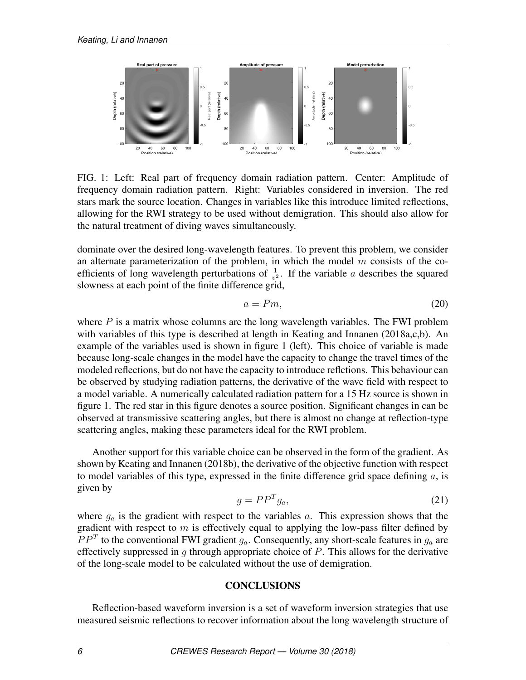<span id="page-5-0"></span>

FIG. 1: Left: Real part of frequency domain radiation pattern. Center: Amplitude of frequency domain radiation pattern. Right: Variables considered in inversion. The red stars mark the source location. Changes in variables like this introduce limited reflections, allowing for the RWI strategy to be used without demigration. This should also allow for the natural treatment of diving waves simultaneously.

dominate over the desired long-wavelength features. To prevent this problem, we consider an alternate parameterization of the problem, in which the model  $m$  consists of the coefficients of long wavelength perturbations of  $\frac{1}{v^2}$ . If the variable a describes the squared slowness at each point of the finite difference grid,

$$
a = Pm,\tag{20}
$$

where  $P$  is a matrix whose columns are the long wavelength variables. The FWI problem with variables of this type is described at length in [Keating and Innanen](#page-6-5) [\(2018a](#page-6-5)[,c,](#page-6-7)[b\)](#page-6-8). An example of the variables used is shown in figure [1](#page-5-0) (left). This choice of variable is made because long-scale changes in the model have the capacity to change the travel times of the modeled reflections, but do not have the capacity to introduce reflctions. This behaviour can be observed by studying radiation patterns, the derivative of the wave field with respect to a model variable. A numerically calculated radiation pattern for a 15 Hz source is shown in figure [1.](#page-5-0) The red star in this figure denotes a source position. Significant changes in can be observed at transmissive scattering angles, but there is almost no change at reflection-type scattering angles, making these parameters ideal for the RWI problem.

Another support for this variable choice can be observed in the form of the gradient. As shown by [Keating and Innanen](#page-6-8) [\(2018b\)](#page-6-8), the derivative of the objective function with respect to model variables of this type, expressed in the finite difference grid space defining  $a$ , is given by

$$
g = PP^T g_a,\tag{21}
$$

where  $g_a$  is the gradient with respect to the variables a. This expression shows that the gradient with respect to  $m$  is effectively equal to applying the low-pass filter defined by  $PP<sup>T</sup>$  to the conventional FWI gradient  $g_a$ . Consequently, any short-scale features in  $g_a$  are effectively suppressed in  $g$  through appropriate choice of  $P$ . This allows for the derivative of the long-scale model to be calculated without the use of demigration.

### **CONCLUSIONS**

Reflection-based waveform inversion is a set of waveform inversion strategies that use measured seismic reflections to recover information about the long wavelength structure of